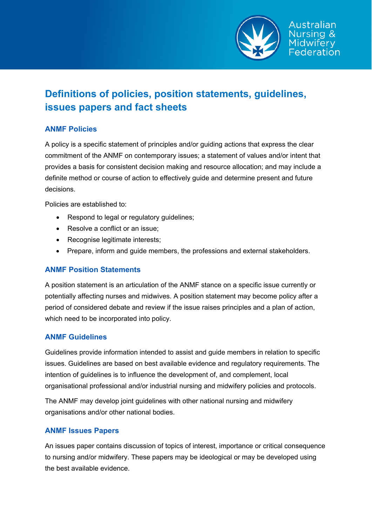

# **Definitions of policies, position statements, guidelines, issues papers and fact sheets**

## **ANMF Policies**

A policy is a specific statement of principles and/or guiding actions that express the clear commitment of the ANMF on contemporary issues; a statement of values and/or intent that provides a basis for consistent decision making and resource allocation; and may include a definite method or course of action to effectively guide and determine present and future decisions.

Policies are established to:

- Respond to legal or regulatory quidelines;
- Resolve a conflict or an issue;
- Recognise legitimate interests;
- Prepare, inform and guide members, the professions and external stakeholders.

### **ANMF Position Statements**

A position statement is an articulation of the ANMF stance on a specific issue currently or potentially affecting nurses and midwives. A position statement may become policy after a period of considered debate and review if the issue raises principles and a plan of action, which need to be incorporated into policy.

### **ANMF Guidelines**

Guidelines provide information intended to assist and guide members in relation to specific issues. Guidelines are based on best available evidence and regulatory requirements. The intention of guidelines is to influence the development of, and complement, local organisational professional and/or industrial nursing and midwifery policies and protocols.

The ANMF may develop joint guidelines with other national nursing and midwifery organisations and/or other national bodies.

### **ANMF Issues Papers**

An issues paper contains discussion of topics of interest, importance or critical consequence to nursing and/or midwifery. These papers may be ideological or may be developed using the best available evidence.